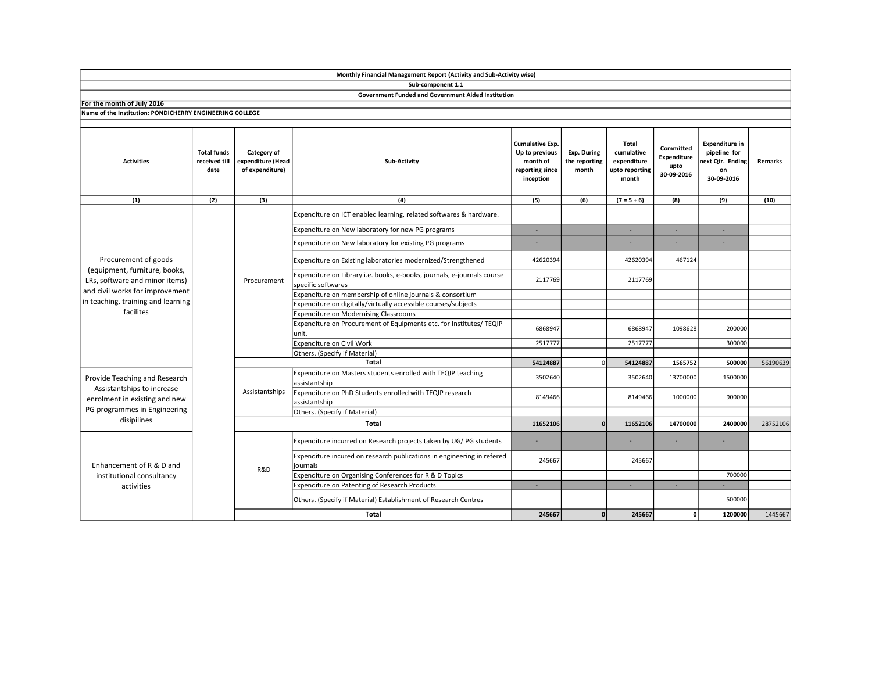|                                                                                                                                                                               |                                             |                                                     | Monthly Financial Management Report (Activity and Sub-Activity wise)                          |                                                                               |                                       |                                                                      |                                                |                                                                              |          |
|-------------------------------------------------------------------------------------------------------------------------------------------------------------------------------|---------------------------------------------|-----------------------------------------------------|-----------------------------------------------------------------------------------------------|-------------------------------------------------------------------------------|---------------------------------------|----------------------------------------------------------------------|------------------------------------------------|------------------------------------------------------------------------------|----------|
|                                                                                                                                                                               |                                             |                                                     | Sub-component 1.1                                                                             |                                                                               |                                       |                                                                      |                                                |                                                                              |          |
|                                                                                                                                                                               |                                             |                                                     | <b>Government Funded and Government Aided Institution</b>                                     |                                                                               |                                       |                                                                      |                                                |                                                                              |          |
| For the month of July 2016                                                                                                                                                    |                                             |                                                     |                                                                                               |                                                                               |                                       |                                                                      |                                                |                                                                              |          |
| Name of the Institution: PONDICHERRY ENGINEERING COLLEGE                                                                                                                      |                                             |                                                     |                                                                                               |                                                                               |                                       |                                                                      |                                                |                                                                              |          |
| <b>Activities</b>                                                                                                                                                             | <b>Total funds</b><br>received till<br>date | Category of<br>expenditure (Head<br>of expenditure) | Sub-Activity                                                                                  | Cumulative Exp.<br>Up to previous<br>month of<br>reporting since<br>inception | Exp. During<br>the reporting<br>month | <b>Total</b><br>cumulative<br>expenditure<br>upto reporting<br>month | Committed<br>Expenditure<br>upto<br>30-09-2016 | <b>Expenditure in</b><br>pipeline for<br>ext Qtr. Ending<br>on<br>30-09-2016 | Remarks  |
| (1)                                                                                                                                                                           | (2)                                         | (3)                                                 | (4)                                                                                           | (5)                                                                           | (6)                                   | $(7 = 5 + 6)$                                                        | (8)                                            | (9)                                                                          | (10)     |
| Procurement of goods<br>(equipment, furniture, books,<br>LRs, software and minor items)<br>and civil works for improvement<br>in teaching, training and learning<br>facilites |                                             | Procurement                                         | Expenditure on ICT enabled learning, related softwares & hardware.                            |                                                                               |                                       |                                                                      |                                                |                                                                              |          |
|                                                                                                                                                                               |                                             |                                                     | Expenditure on New laboratory for new PG programs                                             | ×.                                                                            |                                       | $\sim$                                                               | ÷.                                             | $\sim$                                                                       |          |
|                                                                                                                                                                               |                                             |                                                     | Expenditure on New laboratory for existing PG programs                                        |                                                                               |                                       |                                                                      |                                                |                                                                              |          |
|                                                                                                                                                                               |                                             |                                                     | Expenditure on Existing laboratories modernized/Strengthened                                  | 42620394                                                                      |                                       | 42620394                                                             | 467124                                         |                                                                              |          |
|                                                                                                                                                                               |                                             |                                                     | Expenditure on Library i.e. books, e-books, journals, e-journals course<br>specific softwares | 2117769                                                                       |                                       | 2117769                                                              |                                                |                                                                              |          |
|                                                                                                                                                                               |                                             |                                                     | Expenditure on membership of online journals & consortium                                     |                                                                               |                                       |                                                                      |                                                |                                                                              |          |
|                                                                                                                                                                               |                                             |                                                     | Expenditure on digitally/virtually accessible courses/subjects                                |                                                                               |                                       |                                                                      |                                                |                                                                              |          |
|                                                                                                                                                                               |                                             |                                                     | Expenditure on Modernising Classrooms                                                         |                                                                               |                                       |                                                                      |                                                |                                                                              |          |
|                                                                                                                                                                               |                                             |                                                     | Expenditure on Procurement of Equipments etc. for Institutes/ TEQIP<br>unit.                  | 6868947                                                                       |                                       | 6868947                                                              | 1098628                                        | 200000                                                                       |          |
|                                                                                                                                                                               |                                             |                                                     | Expenditure on Civil Work                                                                     | 2517777                                                                       |                                       | 2517777                                                              |                                                | 300000                                                                       |          |
|                                                                                                                                                                               |                                             |                                                     | Others. (Specify if Material)                                                                 |                                                                               |                                       |                                                                      |                                                |                                                                              |          |
|                                                                                                                                                                               |                                             |                                                     | 54124887                                                                                      | $\Omega$                                                                      | 54124887                              | 1565752                                                              | 500000                                         | 56190639                                                                     |          |
| Provide Teaching and Research<br>Assistantships to increase<br>enrolment in existing and new<br>PG programmes in Engineering<br>disipilines                                   |                                             | Assistantships                                      | Expenditure on Masters students enrolled with TEQIP teaching<br>assistantship                 | 3502640                                                                       |                                       | 3502640                                                              | 13700000                                       | 1500000                                                                      |          |
|                                                                                                                                                                               |                                             |                                                     | Expenditure on PhD Students enrolled with TEQIP research<br>assistantship                     | 8149466                                                                       |                                       | 8149466                                                              | 1000000                                        | 900000                                                                       |          |
|                                                                                                                                                                               |                                             |                                                     | Others. (Specify if Material)                                                                 |                                                                               |                                       |                                                                      |                                                |                                                                              |          |
|                                                                                                                                                                               |                                             |                                                     | Total                                                                                         | 11652106                                                                      | n                                     | 11652106                                                             | 14700000                                       | 2400000                                                                      | 28752106 |
| Enhancement of R & D and<br>institutional consultancy<br>activities                                                                                                           |                                             | R&D                                                 | Expenditure incurred on Research projects taken by UG/PG students                             | ä,                                                                            |                                       |                                                                      |                                                |                                                                              |          |
|                                                                                                                                                                               |                                             |                                                     | Expenditure incured on research publications in engineering in refered<br>journals            | 245667                                                                        |                                       | 245667                                                               |                                                |                                                                              |          |
|                                                                                                                                                                               |                                             |                                                     | Expenditure on Organising Conferences for R & D Topics                                        |                                                                               |                                       |                                                                      |                                                | 700000                                                                       |          |
|                                                                                                                                                                               |                                             |                                                     | Expenditure on Patenting of Research Products                                                 | ÷.                                                                            |                                       | ×.                                                                   | $\sim$                                         |                                                                              |          |
|                                                                                                                                                                               |                                             |                                                     | Others. (Specify if Material) Establishment of Research Centres                               |                                                                               |                                       |                                                                      |                                                | 500000                                                                       |          |
|                                                                                                                                                                               |                                             |                                                     | <b>Total</b>                                                                                  | 245667                                                                        | $\mathbf{0}$                          | 245667                                                               | οI                                             | 1200000                                                                      | 1445667  |